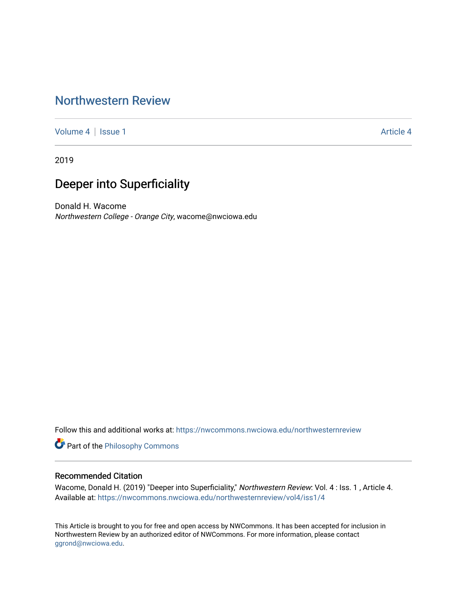## [Northwestern Review](https://nwcommons.nwciowa.edu/northwesternreview)

[Volume 4](https://nwcommons.nwciowa.edu/northwesternreview/vol4) | [Issue 1](https://nwcommons.nwciowa.edu/northwesternreview/vol4/iss1) [Article 4](https://nwcommons.nwciowa.edu/northwesternreview/vol4/iss1/4) | Article 4 Article 4 | Article 4 Article 4 | Article 4 | Article 4 | Article 4 |

2019

# Deeper into Superficiality

Donald H. Wacome Northwestern College - Orange City, wacome@nwciowa.edu

Follow this and additional works at: [https://nwcommons.nwciowa.edu/northwesternreview](https://nwcommons.nwciowa.edu/northwesternreview?utm_source=nwcommons.nwciowa.edu%2Fnorthwesternreview%2Fvol4%2Fiss1%2F4&utm_medium=PDF&utm_campaign=PDFCoverPages) 

Part of the [Philosophy Commons](http://network.bepress.com/hgg/discipline/525?utm_source=nwcommons.nwciowa.edu%2Fnorthwesternreview%2Fvol4%2Fiss1%2F4&utm_medium=PDF&utm_campaign=PDFCoverPages) 

#### Recommended Citation

Wacome, Donald H. (2019) "Deeper into Superficiality," Northwestern Review: Vol. 4 : Iss. 1 , Article 4. Available at: [https://nwcommons.nwciowa.edu/northwesternreview/vol4/iss1/4](https://nwcommons.nwciowa.edu/northwesternreview/vol4/iss1/4?utm_source=nwcommons.nwciowa.edu%2Fnorthwesternreview%2Fvol4%2Fiss1%2F4&utm_medium=PDF&utm_campaign=PDFCoverPages)

This Article is brought to you for free and open access by NWCommons. It has been accepted for inclusion in Northwestern Review by an authorized editor of NWCommons. For more information, please contact [ggrond@nwciowa.edu.](mailto:ggrond@nwciowa.edu)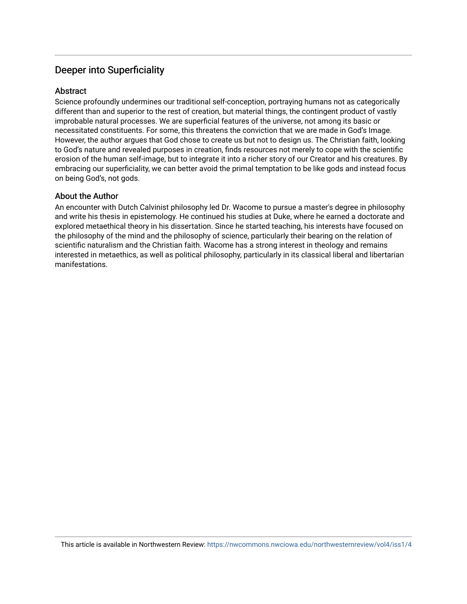## Deeper into Superficiality

#### **Abstract**

Science profoundly undermines our traditional self-conception, portraying humans not as categorically different than and superior to the rest of creation, but material things, the contingent product of vastly improbable natural processes. We are superficial features of the universe, not among its basic or necessitated constituents. For some, this threatens the conviction that we are made in God's Image. However, the author argues that God chose to create us but not to design us. The Christian faith, looking to God's nature and revealed purposes in creation, finds resources not merely to cope with the scientific erosion of the human self-image, but to integrate it into a richer story of our Creator and his creatures. By embracing our superficiality, we can better avoid the primal temptation to be like gods and instead focus on being God's, not gods.

#### About the Author

An encounter with Dutch Calvinist philosophy led Dr. Wacome to pursue a master's degree in philosophy and write his thesis in epistemology. He continued his studies at Duke, where he earned a doctorate and explored metaethical theory in his dissertation. Since he started teaching, his interests have focused on the philosophy of the mind and the philosophy of science, particularly their bearing on the relation of scientific naturalism and the Christian faith. Wacome has a strong interest in theology and remains interested in metaethics, as well as political philosophy, particularly in its classical liberal and libertarian manifestations.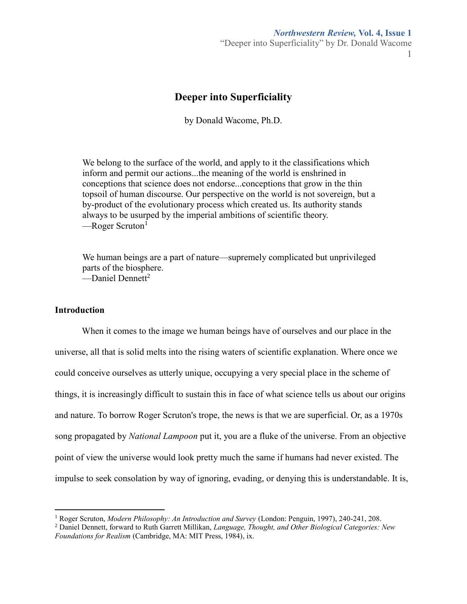#### *Northwestern Review,* **Vol. 4, Issue 1**

"Deeper into Superficiality" by Dr. Donald Wacome 1

### **Deeper into Superficiality**

by Donald Wacome, Ph.D.

We belong to the surface of the world, and apply to it the classifications which inform and permit our actions...the meaning of the world is enshrined in conceptions that science does not endorse...conceptions that grow in the thin topsoil of human discourse. Our perspective on the world is not sovereign, but a by-product of the evolutionary process which created us. Its authority stands always to be usurped by the imperial ambitions of scientific theory.  $\text{–Roger Scruton}^1$ 

We human beings are a part of nature—supremely complicated but unprivileged parts of the biosphere.  $\equiv$ Daniel Dennett<sup>2</sup>

#### **Introduction**

 $\overline{a}$ 

When it comes to the image we human beings have of ourselves and our place in the universe, all that is solid melts into the rising waters of scientific explanation. Where once we could conceive ourselves as utterly unique, occupying a very special place in the scheme of things, it is increasingly difficult to sustain this in face of what science tells us about our origins and nature. To borrow Roger Scruton's trope, the news is that we are superficial. Or, as a 1970s song propagated by *National Lampoon* put it, you are a fluke of the universe. From an objective point of view the universe would look pretty much the same if humans had never existed. The impulse to seek consolation by way of ignoring, evading, or denying this is understandable. It is,

<sup>1</sup> Roger Scruton, *Modern Philosophy: An Introduction and Survey* (London: Penguin, 1997), 240-241, 208.

<sup>2</sup> Daniel Dennett, forward to Ruth Garrett Millikan, *Language, Thought, and Other Biological Categories: New Foundations for Realism* (Cambridge, MA: MIT Press, 1984), ix.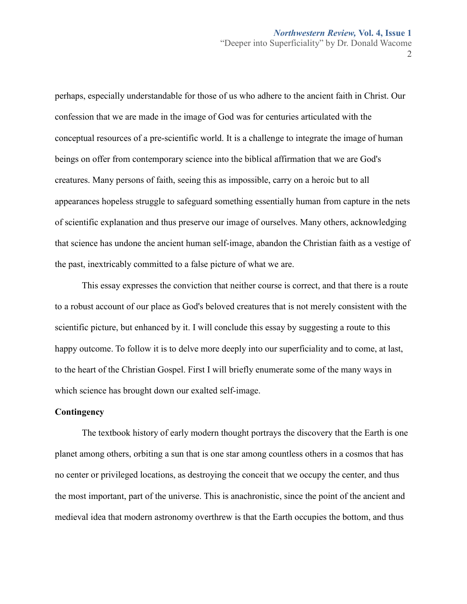$\mathcal{L}$ 

perhaps, especially understandable for those of us who adhere to the ancient faith in Christ. Our confession that we are made in the image of God was for centuries articulated with the conceptual resources of a pre-scientific world. It is a challenge to integrate the image of human beings on offer from contemporary science into the biblical affirmation that we are God's creatures. Many persons of faith, seeing this as impossible, carry on a heroic but to all appearances hopeless struggle to safeguard something essentially human from capture in the nets of scientific explanation and thus preserve our image of ourselves. Many others, acknowledging that science has undone the ancient human self-image, abandon the Christian faith as a vestige of the past, inextricably committed to a false picture of what we are.

This essay expresses the conviction that neither course is correct, and that there is a route to a robust account of our place as God's beloved creatures that is not merely consistent with the scientific picture, but enhanced by it. I will conclude this essay by suggesting a route to this happy outcome. To follow it is to delve more deeply into our superficiality and to come, at last, to the heart of the Christian Gospel. First I will briefly enumerate some of the many ways in which science has brought down our exalted self-image.

#### **Contingency**

The textbook history of early modern thought portrays the discovery that the Earth is one planet among others, orbiting a sun that is one star among countless others in a cosmos that has no center or privileged locations, as destroying the conceit that we occupy the center, and thus the most important, part of the universe. This is anachronistic, since the point of the ancient and medieval idea that modern astronomy overthrew is that the Earth occupies the bottom, and thus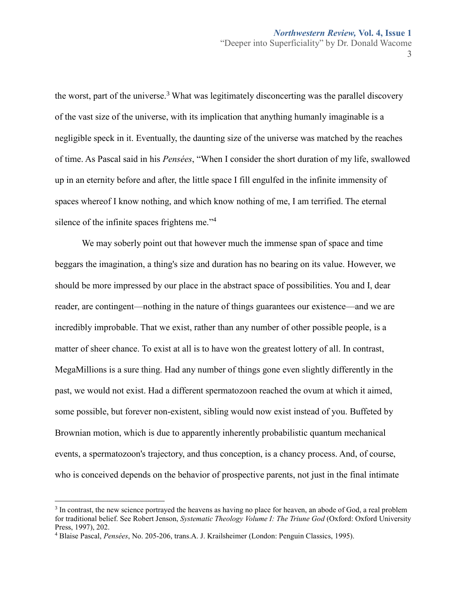3

the worst, part of the universe.<sup>3</sup> What was legitimately disconcerting was the parallel discovery of the vast size of the universe, with its implication that anything humanly imaginable is a negligible speck in it. Eventually, the daunting size of the universe was matched by the reaches of time. As Pascal said in his *Pensées*, "When I consider the short duration of my life, swallowed up in an eternity before and after, the little space I fill engulfed in the infinite immensity of spaces whereof I know nothing, and which know nothing of me, I am terrified. The eternal silence of the infinite spaces frightens me."<sup>4</sup>

We may soberly point out that however much the immense span of space and time beggars the imagination, a thing's size and duration has no bearing on its value. However, we should be more impressed by our place in the abstract space of possibilities. You and I, dear reader, are contingent—nothing in the nature of things guarantees our existence—and we are incredibly improbable. That we exist, rather than any number of other possible people, is a matter of sheer chance. To exist at all is to have won the greatest lottery of all. In contrast, MegaMillions is a sure thing. Had any number of things gone even slightly differently in the past, we would not exist. Had a different spermatozoon reached the ovum at which it aimed, some possible, but forever non-existent, sibling would now exist instead of you. Buffeted by Brownian motion, which is due to apparently inherently probabilistic quantum mechanical events, a spermatozoon's trajectory, and thus conception, is a chancy process. And, of course, who is conceived depends on the behavior of prospective parents, not just in the final intimate

<sup>&</sup>lt;sup>3</sup> In contrast, the new science portrayed the heavens as having no place for heaven, an abode of God, a real problem for traditional belief. See Robert Jenson, *Systematic Theology Volume I: The Triune God* (Oxford: Oxford University Press, 1997), 202.

<sup>4</sup> Blaise Pascal, *Pensées*, No. 205-206, trans.A. J. Krailsheimer (London: Penguin Classics, 1995).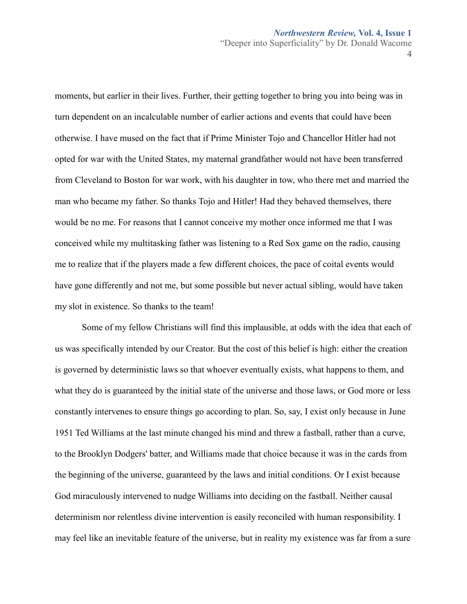4

moments, but earlier in their lives. Further, their getting together to bring you into being was in turn dependent on an incalculable number of earlier actions and events that could have been otherwise. I have mused on the fact that if Prime Minister Tojo and Chancellor Hitler had not opted for war with the United States, my maternal grandfather would not have been transferred from Cleveland to Boston for war work, with his daughter in tow, who there met and married the man who became my father. So thanks Tojo and Hitler! Had they behaved themselves, there would be no me. For reasons that I cannot conceive my mother once informed me that I was conceived while my multitasking father was listening to a Red Sox game on the radio, causing me to realize that if the players made a few different choices, the pace of coital events would have gone differently and not me, but some possible but never actual sibling, would have taken my slot in existence. So thanks to the team!

Some of my fellow Christians will find this implausible, at odds with the idea that each of us was specifically intended by our Creator. But the cost of this belief is high: either the creation is governed by deterministic laws so that whoever eventually exists, what happens to them, and what they do is guaranteed by the initial state of the universe and those laws, or God more or less constantly intervenes to ensure things go according to plan. So, say, I exist only because in June 1951 Ted Williams at the last minute changed his mind and threw a fastball, rather than a curve, to the Brooklyn Dodgers' batter, and Williams made that choice because it was in the cards from the beginning of the universe, guaranteed by the laws and initial conditions. Or I exist because God miraculously intervened to nudge Williams into deciding on the fastball. Neither causal determinism nor relentless divine intervention is easily reconciled with human responsibility. I may feel like an inevitable feature of the universe, but in reality my existence was far from a sure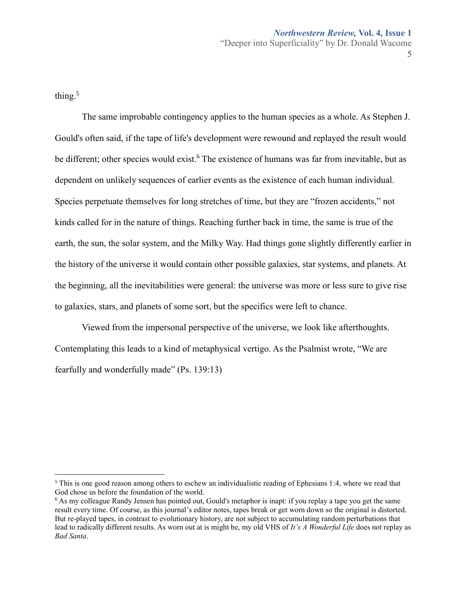thing.<sup>5</sup>

 $\overline{a}$ 

The same improbable contingency applies to the human species as a whole. As Stephen J. Gould's often said, if the tape of life's development were rewound and replayed the result would be different; other species would exist.<sup>6</sup> The existence of humans was far from inevitable, but as dependent on unlikely sequences of earlier events as the existence of each human individual. Species perpetuate themselves for long stretches of time, but they are "frozen accidents," not kinds called for in the nature of things. Reaching further back in time, the same is true of the earth, the sun, the solar system, and the Milky Way. Had things gone slightly differently earlier in the history of the universe it would contain other possible galaxies, star systems, and planets. At the beginning, all the inevitabilities were general: the universe was more or less sure to give rise to galaxies, stars, and planets of some sort, but the specifics were left to chance.

Viewed from the impersonal perspective of the universe, we look like afterthoughts. Contemplating this leads to a kind of metaphysical vertigo. As the Psalmist wrote, "We are fearfully and wonderfully made" (Ps. 139:13)

<sup>&</sup>lt;sup>5</sup> This is one good reason among others to eschew an individualistic reading of Ephesians 1:4, where we read that God chose us before the foundation of the world.

 $6$  As my colleague Randy Jensen has pointed out, Gould's metaphor is inapt: if you replay a tape you get the same result every time. Of course, as this journal's editor notes, tapes break or get worn down so the original is distorted. But re-played tapes, in contrast to evolutionary history, are not subject to accumulating random perturbations that lead to radically different results. As worn out at is might be, my old VHS of *It's A Wonderful Life* does not replay as *Bad Santa*.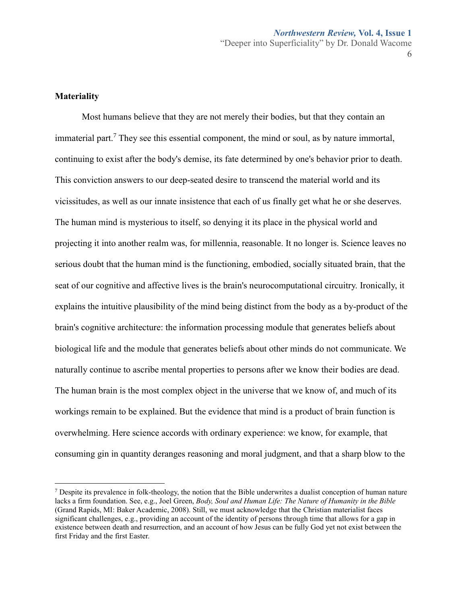**Materiality**

 $\overline{a}$ 

Most humans believe that they are not merely their bodies, but that they contain an immaterial part.<sup>7</sup> They see this essential component, the mind or soul, as by nature immortal, continuing to exist after the body's demise, its fate determined by one's behavior prior to death. This conviction answers to our deep-seated desire to transcend the material world and its vicissitudes, as well as our innate insistence that each of us finally get what he or she deserves. The human mind is mysterious to itself, so denying it its place in the physical world and projecting it into another realm was, for millennia, reasonable. It no longer is. Science leaves no serious doubt that the human mind is the functioning, embodied, socially situated brain, that the seat of our cognitive and affective lives is the brain's neurocomputational circuitry. Ironically, it explains the intuitive plausibility of the mind being distinct from the body as a by-product of the brain's cognitive architecture: the information processing module that generates beliefs about biological life and the module that generates beliefs about other minds do not communicate. We naturally continue to ascribe mental properties to persons after we know their bodies are dead. The human brain is the most complex object in the universe that we know of, and much of its workings remain to be explained. But the evidence that mind is a product of brain function is overwhelming. Here science accords with ordinary experience: we know, for example, that consuming gin in quantity deranges reasoning and moral judgment, and that a sharp blow to the

 $<sup>7</sup>$  Despite its prevalence in folk-theology, the notion that the Bible underwrites a dualist conception of human nature</sup> lacks a firm foundation. See, e.g., Joel Green, *Body, Soul and Human Life: The Nature of Humanity in the Bible*  (Grand Rapids, MI: Baker Academic, 2008). Still, we must acknowledge that the Christian materialist faces significant challenges, e.g., providing an account of the identity of persons through time that allows for a gap in existence between death and resurrection, and an account of how Jesus can be fully God yet not exist between the first Friday and the first Easter.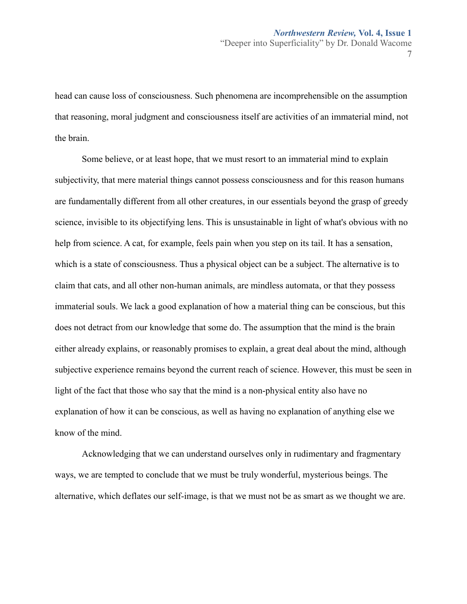head can cause loss of consciousness. Such phenomena are incomprehensible on the assumption that reasoning, moral judgment and consciousness itself are activities of an immaterial mind, not the brain.

Some believe, or at least hope, that we must resort to an immaterial mind to explain subjectivity, that mere material things cannot possess consciousness and for this reason humans are fundamentally different from all other creatures, in our essentials beyond the grasp of greedy science, invisible to its objectifying lens. This is unsustainable in light of what's obvious with no help from science. A cat, for example, feels pain when you step on its tail. It has a sensation, which is a state of consciousness. Thus a physical object can be a subject. The alternative is to claim that cats, and all other non-human animals, are mindless automata, or that they possess immaterial souls. We lack a good explanation of how a material thing can be conscious, but this does not detract from our knowledge that some do. The assumption that the mind is the brain either already explains, or reasonably promises to explain, a great deal about the mind, although subjective experience remains beyond the current reach of science. However, this must be seen in light of the fact that those who say that the mind is a non-physical entity also have no explanation of how it can be conscious, as well as having no explanation of anything else we know of the mind.

Acknowledging that we can understand ourselves only in rudimentary and fragmentary ways, we are tempted to conclude that we must be truly wonderful, mysterious beings. The alternative, which deflates our self-image, is that we must not be as smart as we thought we are.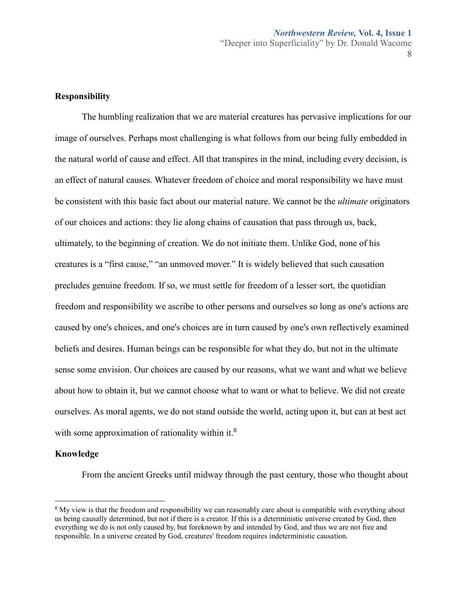#### **Responsibility**

The humbling realization that we are material creatures has pervasive implications for our image of ourselves. Perhaps most challenging is what follows from our being fully embedded in the natural world of cause and effect. All that transpires in the mind, including every decision, is an effect of natural causes. Whatever freedom of choice and moral responsibility we have must be consistent with this basic fact about our material nature. We cannot be the *ultimate* originators of our choices and actions: they lie along chains of causation that pass through us, back, ultimately, to the beginning of creation. We do not initiate them. Unlike God, none of his creatures is a "first cause," "an unmoved mover." It is widely believed that such causation precludes genuine freedom. If so, we must settle for freedom of a lesser sort, the quotidian freedom and responsibility we ascribe to other persons and ourselves so long as one's actions are caused by one's choices, and one's choices are in turn caused by one's own reflectively examined beliefs and desires. Human beings can be responsible for what they do, but not in the ultimate sense some envision. Our choices are caused by our reasons, what we want and what we believe about how to obtain it, but we cannot choose what to want or what to believe. We did not create ourselves. As moral agents, we do not stand outside the world, acting upon it, but can at best act with some approximation of rationality within it. $8$ 

#### **Knowledge**

 $\overline{a}$ 

From the ancient Greeks until midway through the past century, those who thought about

<sup>&</sup>lt;sup>8</sup> My view is that the freedom and responsibility we can reasonably care about is compatible with everything about us being causally determined, but not if there is a creator. If this is a deterministic universe created by God, then everything we do is not only caused by, but foreknown by and intended by God, and thus we are not free and responsible. In a universe created by God, creatures' freedom requires indeterministic causation.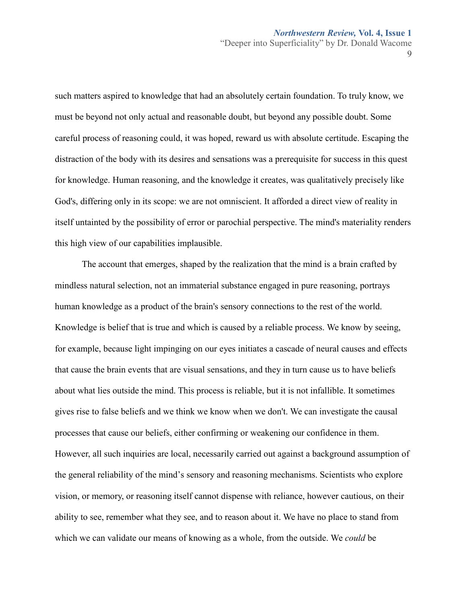9

such matters aspired to knowledge that had an absolutely certain foundation. To truly know, we must be beyond not only actual and reasonable doubt, but beyond any possible doubt. Some careful process of reasoning could, it was hoped, reward us with absolute certitude. Escaping the distraction of the body with its desires and sensations was a prerequisite for success in this quest for knowledge. Human reasoning, and the knowledge it creates, was qualitatively precisely like God's, differing only in its scope: we are not omniscient. It afforded a direct view of reality in itself untainted by the possibility of error or parochial perspective. The mind's materiality renders this high view of our capabilities implausible.

The account that emerges, shaped by the realization that the mind is a brain crafted by mindless natural selection, not an immaterial substance engaged in pure reasoning, portrays human knowledge as a product of the brain's sensory connections to the rest of the world. Knowledge is belief that is true and which is caused by a reliable process. We know by seeing, for example, because light impinging on our eyes initiates a cascade of neural causes and effects that cause the brain events that are visual sensations, and they in turn cause us to have beliefs about what lies outside the mind. This process is reliable, but it is not infallible. It sometimes gives rise to false beliefs and we think we know when we don't. We can investigate the causal processes that cause our beliefs, either confirming or weakening our confidence in them. However, all such inquiries are local, necessarily carried out against a background assumption of the general reliability of the mind's sensory and reasoning mechanisms. Scientists who explore vision, or memory, or reasoning itself cannot dispense with reliance, however cautious, on their ability to see, remember what they see, and to reason about it. We have no place to stand from which we can validate our means of knowing as a whole, from the outside. We *could* be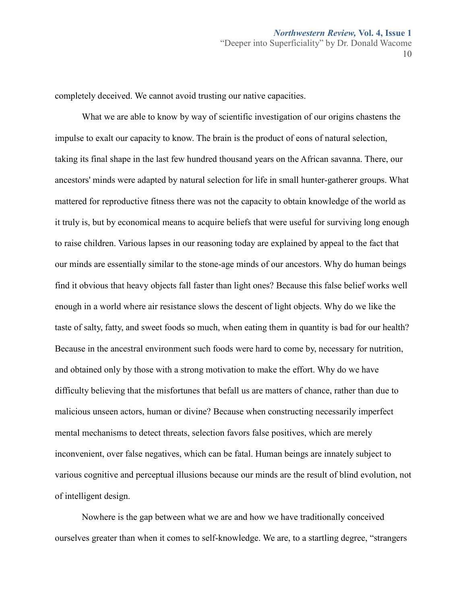completely deceived. We cannot avoid trusting our native capacities.

What we are able to know by way of scientific investigation of our origins chastens the impulse to exalt our capacity to know. The brain is the product of eons of natural selection, taking its final shape in the last few hundred thousand years on the African savanna. There, our ancestors' minds were adapted by natural selection for life in small hunter-gatherer groups. What mattered for reproductive fitness there was not the capacity to obtain knowledge of the world as it truly is, but by economical means to acquire beliefs that were useful for surviving long enough to raise children. Various lapses in our reasoning today are explained by appeal to the fact that our minds are essentially similar to the stone-age minds of our ancestors. Why do human beings find it obvious that heavy objects fall faster than light ones? Because this false belief works well enough in a world where air resistance slows the descent of light objects. Why do we like the taste of salty, fatty, and sweet foods so much, when eating them in quantity is bad for our health? Because in the ancestral environment such foods were hard to come by, necessary for nutrition, and obtained only by those with a strong motivation to make the effort. Why do we have difficulty believing that the misfortunes that befall us are matters of chance, rather than due to malicious unseen actors, human or divine? Because when constructing necessarily imperfect mental mechanisms to detect threats, selection favors false positives, which are merely inconvenient, over false negatives, which can be fatal. Human beings are innately subject to various cognitive and perceptual illusions because our minds are the result of blind evolution, not of intelligent design.

Nowhere is the gap between what we are and how we have traditionally conceived ourselves greater than when it comes to self-knowledge. We are, to a startling degree, "strangers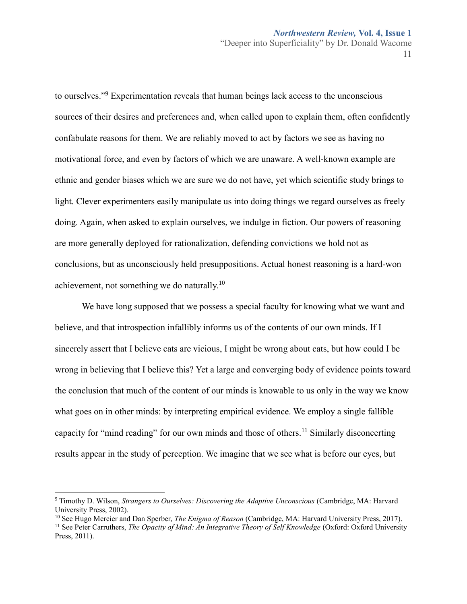to ourselves." <sup>9</sup> Experimentation reveals that human beings lack access to the unconscious sources of their desires and preferences and, when called upon to explain them, often confidently confabulate reasons for them. We are reliably moved to act by factors we see as having no motivational force, and even by factors of which we are unaware. A well-known example are ethnic and gender biases which we are sure we do not have, yet which scientific study brings to light. Clever experimenters easily manipulate us into doing things we regard ourselves as freely doing. Again, when asked to explain ourselves, we indulge in fiction. Our powers of reasoning are more generally deployed for rationalization, defending convictions we hold not as conclusions, but as unconsciously held presuppositions. Actual honest reasoning is a hard-won achievement, not something we do naturally.<sup>10</sup>

We have long supposed that we possess a special faculty for knowing what we want and believe, and that introspection infallibly informs us of the contents of our own minds. If I sincerely assert that I believe cats are vicious, I might be wrong about cats, but how could I be wrong in believing that I believe this? Yet a large and converging body of evidence points toward the conclusion that much of the content of our minds is knowable to us only in the way we know what goes on in other minds: by interpreting empirical evidence. We employ a single fallible capacity for "mind reading" for our own minds and those of others.<sup>11</sup> Similarly disconcerting results appear in the study of perception. We imagine that we see what is before our eyes, but

 $\overline{a}$ 

<sup>10</sup> See Hugo Mercier and Dan Sperber, *The Enigma of Reason* (Cambridge, MA: Harvard University Press, 2017).

<sup>9</sup> Timothy D. Wilson, *Strangers to Ourselves: Discovering the Adaptive Unconscious* (Cambridge, MA: Harvard University Press, 2002).

<sup>11</sup> See Peter Carruthers, *The Opacity of Mind: An Integrative Theory of Self Knowledge* (Oxford: Oxford University Press, 2011).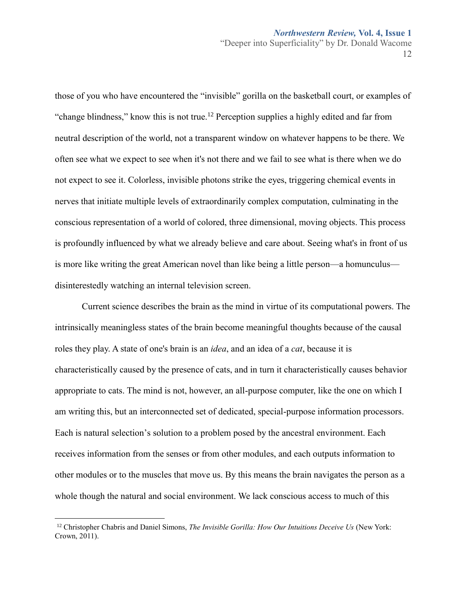those of you who have encountered the "invisible" gorilla on the basketball court, or examples of "change blindness," know this is not true.<sup>12</sup> Perception supplies a highly edited and far from neutral description of the world, not a transparent window on whatever happens to be there. We often see what we expect to see when it's not there and we fail to see what is there when we do not expect to see it. Colorless, invisible photons strike the eyes, triggering chemical events in nerves that initiate multiple levels of extraordinarily complex computation, culminating in the conscious representation of a world of colored, three dimensional, moving objects. This process is profoundly influenced by what we already believe and care about. Seeing what's in front of us is more like writing the great American novel than like being a little person—a homunculus disinterestedly watching an internal television screen.

Current science describes the brain as the mind in virtue of its computational powers. The intrinsically meaningless states of the brain become meaningful thoughts because of the causal roles they play. A state of one's brain is an *idea*, and an idea of a *cat*, because it is characteristically caused by the presence of cats, and in turn it characteristically causes behavior appropriate to cats. The mind is not, however, an all-purpose computer, like the one on which I am writing this, but an interconnected set of dedicated, special-purpose information processors. Each is natural selection's solution to a problem posed by the ancestral environment. Each receives information from the senses or from other modules, and each outputs information to other modules or to the muscles that move us. By this means the brain navigates the person as a whole though the natural and social environment. We lack conscious access to much of this

<sup>12</sup> Christopher Chabris and Daniel Simons, *The Invisible Gorilla: How Our Intuitions Deceive Us* (New York: Crown, 2011).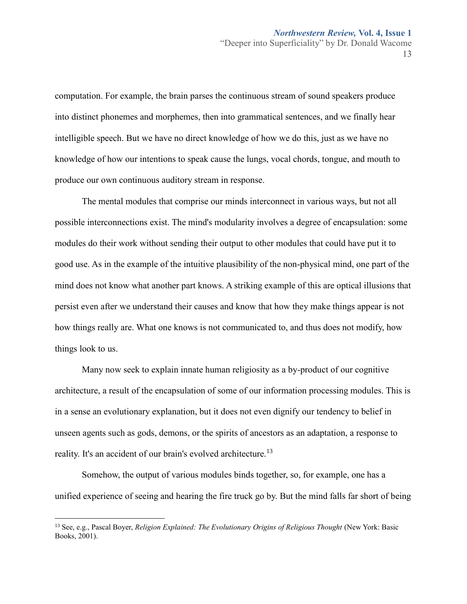computation. For example, the brain parses the continuous stream of sound speakers produce into distinct phonemes and morphemes, then into grammatical sentences, and we finally hear intelligible speech. But we have no direct knowledge of how we do this, just as we have no knowledge of how our intentions to speak cause the lungs, vocal chords, tongue, and mouth to produce our own continuous auditory stream in response.

The mental modules that comprise our minds interconnect in various ways, but not all possible interconnections exist. The mind's modularity involves a degree of encapsulation: some modules do their work without sending their output to other modules that could have put it to good use. As in the example of the intuitive plausibility of the non-physical mind, one part of the mind does not know what another part knows. A striking example of this are optical illusions that persist even after we understand their causes and know that how they make things appear is not how things really are. What one knows is not communicated to, and thus does not modify, how things look to us.

Many now seek to explain innate human religiosity as a by-product of our cognitive architecture, a result of the encapsulation of some of our information processing modules. This is in a sense an evolutionary explanation, but it does not even dignify our tendency to belief in unseen agents such as gods, demons, or the spirits of ancestors as an adaptation, a response to reality. It's an accident of our brain's evolved architecture.<sup>13</sup>

Somehow, the output of various modules binds together, so, for example, one has a unified experience of seeing and hearing the fire truck go by. But the mind falls far short of being

<sup>13</sup> See, e.g., Pascal Boyer, *Religion Explained: The Evolutionary Origins of Religious Thought* (New York: Basic Books, 2001).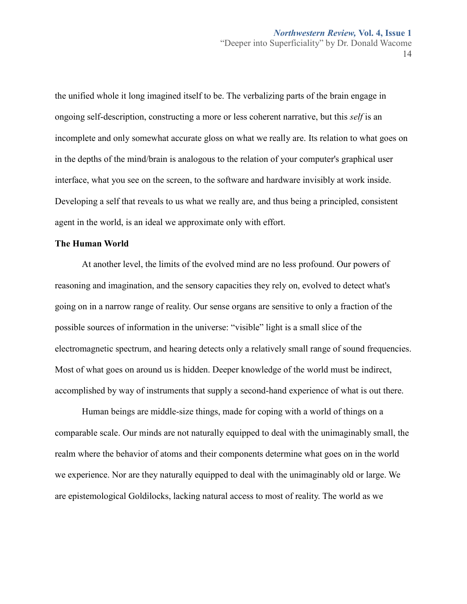the unified whole it long imagined itself to be. The verbalizing parts of the brain engage in ongoing self-description, constructing a more or less coherent narrative, but this *self* is an incomplete and only somewhat accurate gloss on what we really are. Its relation to what goes on in the depths of the mind/brain is analogous to the relation of your computer's graphical user interface, what you see on the screen, to the software and hardware invisibly at work inside. Developing a self that reveals to us what we really are, and thus being a principled, consistent agent in the world, is an ideal we approximate only with effort.

#### **The Human World**

At another level, the limits of the evolved mind are no less profound. Our powers of reasoning and imagination, and the sensory capacities they rely on, evolved to detect what's going on in a narrow range of reality. Our sense organs are sensitive to only a fraction of the possible sources of information in the universe: "visible" light is a small slice of the electromagnetic spectrum, and hearing detects only a relatively small range of sound frequencies. Most of what goes on around us is hidden. Deeper knowledge of the world must be indirect, accomplished by way of instruments that supply a second-hand experience of what is out there.

Human beings are middle-size things, made for coping with a world of things on a comparable scale. Our minds are not naturally equipped to deal with the unimaginably small, the realm where the behavior of atoms and their components determine what goes on in the world we experience. Nor are they naturally equipped to deal with the unimaginably old or large. We are epistemological Goldilocks, lacking natural access to most of reality. The world as we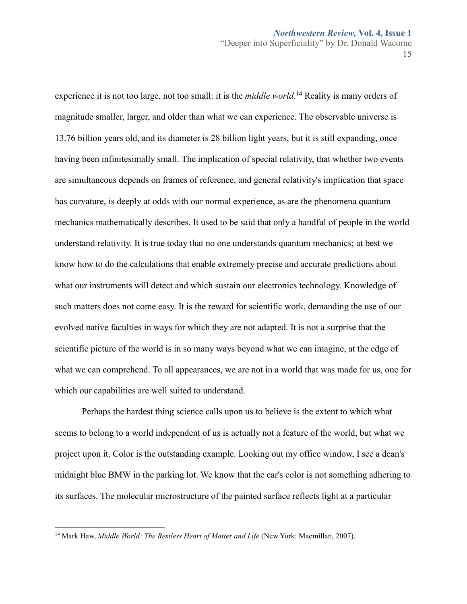15

experience it is not too large, not too small: it is the *middle world*. <sup>14</sup> Reality is many orders of magnitude smaller, larger, and older than what we can experience. The observable universe is 13.76 billion years old, and its diameter is 28 billion light years, but it is still expanding, once having been infinitesimally small. The implication of special relativity, that whether two events are simultaneous depends on frames of reference, and general relativity's implication that space has curvature, is deeply at odds with our normal experience, as are the phenomena quantum mechanics mathematically describes. It used to be said that only a handful of people in the world understand relativity. It is true today that no one understands quantum mechanics; at best we know how to do the calculations that enable extremely precise and accurate predictions about what our instruments will detect and which sustain our electronics technology. Knowledge of such matters does not come easy. It is the reward for scientific work, demanding the use of our evolved native faculties in ways for which they are not adapted. It is not a surprise that the scientific picture of the world is in so many ways beyond what we can imagine, at the edge of what we can comprehend. To all appearances, we are not in a world that was made for us, one for which our capabilities are well suited to understand.

Perhaps the hardest thing science calls upon us to believe is the extent to which what seems to belong to a world independent of us is actually not a feature of the world, but what we project upon it. Color is the outstanding example. Looking out my office window, I see a dean's midnight blue BMW in the parking lot. We know that the car's color is not something adhering to its surfaces. The molecular microstructure of the painted surface reflects light at a particular

<sup>&</sup>lt;sup>14</sup> Mark Haw, *Middle World: The Restless Heart of Matter and Life* (New York: Macmillan, 2007).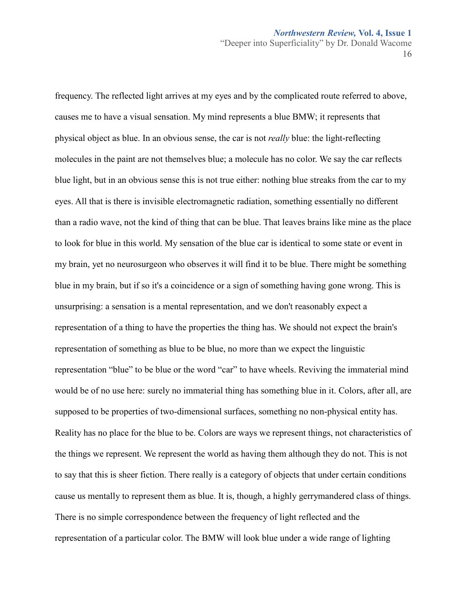frequency. The reflected light arrives at my eyes and by the complicated route referred to above, causes me to have a visual sensation. My mind represents a blue BMW; it represents that physical object as blue. In an obvious sense, the car is not *really* blue: the light-reflecting molecules in the paint are not themselves blue; a molecule has no color. We say the car reflects blue light, but in an obvious sense this is not true either: nothing blue streaks from the car to my eyes. All that is there is invisible electromagnetic radiation, something essentially no different than a radio wave, not the kind of thing that can be blue. That leaves brains like mine as the place to look for blue in this world. My sensation of the blue car is identical to some state or event in my brain, yet no neurosurgeon who observes it will find it to be blue. There might be something blue in my brain, but if so it's a coincidence or a sign of something having gone wrong. This is unsurprising: a sensation is a mental representation, and we don't reasonably expect a representation of a thing to have the properties the thing has. We should not expect the brain's representation of something as blue to be blue, no more than we expect the linguistic representation "blue" to be blue or the word "car" to have wheels. Reviving the immaterial mind would be of no use here: surely no immaterial thing has something blue in it. Colors, after all, are supposed to be properties of two-dimensional surfaces, something no non-physical entity has. Reality has no place for the blue to be. Colors are ways we represent things, not characteristics of the things we represent. We represent the world as having them although they do not. This is not to say that this is sheer fiction. There really is a category of objects that under certain conditions cause us mentally to represent them as blue. It is, though, a highly gerrymandered class of things. There is no simple correspondence between the frequency of light reflected and the representation of a particular color. The BMW will look blue under a wide range of lighting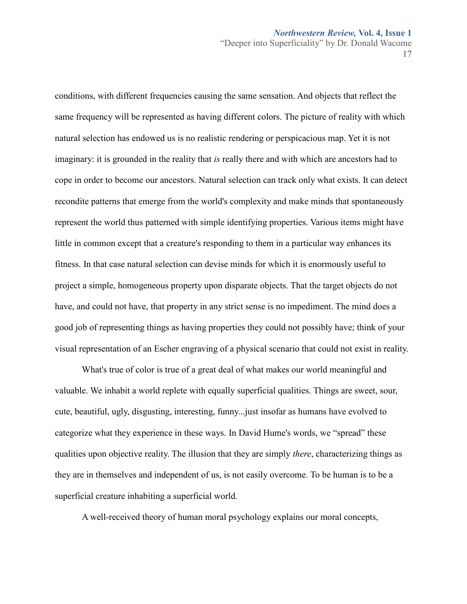conditions, with different frequencies causing the same sensation. And objects that reflect the same frequency will be represented as having different colors. The picture of reality with which natural selection has endowed us is no realistic rendering or perspicacious map. Yet it is not imaginary: it is grounded in the reality that *is* really there and with which are ancestors had to cope in order to become our ancestors. Natural selection can track only what exists. It can detect recondite patterns that emerge from the world's complexity and make minds that spontaneously represent the world thus patterned with simple identifying properties. Various items might have little in common except that a creature's responding to them in a particular way enhances its fitness. In that case natural selection can devise minds for which it is enormously useful to project a simple, homogeneous property upon disparate objects. That the target objects do not have, and could not have, that property in any strict sense is no impediment. The mind does a good job of representing things as having properties they could not possibly have; think of your visual representation of an Escher engraving of a physical scenario that could not exist in reality.

What's true of color is true of a great deal of what makes our world meaningful and valuable. We inhabit a world replete with equally superficial qualities. Things are sweet, sour, cute, beautiful, ugly, disgusting, interesting, funny...just insofar as humans have evolved to categorize what they experience in these ways. In David Hume's words, we "spread" these qualities upon objective reality. The illusion that they are simply *there*, characterizing things as they are in themselves and independent of us, is not easily overcome. To be human is to be a superficial creature inhabiting a superficial world.

A well-received theory of human moral psychology explains our moral concepts,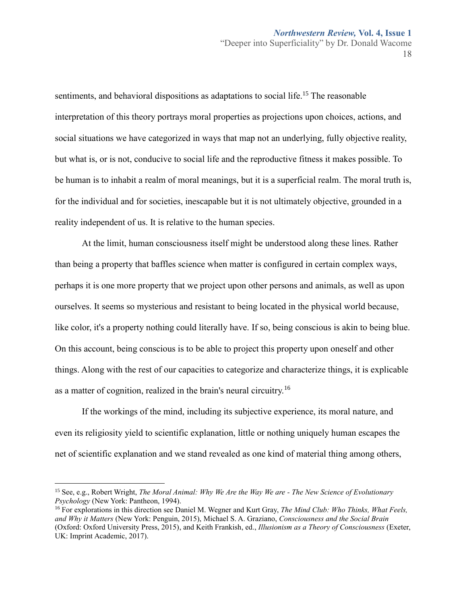sentiments, and behavioral dispositions as adaptations to social life.<sup>15</sup> The reasonable interpretation of this theory portrays moral properties as projections upon choices, actions, and social situations we have categorized in ways that map not an underlying, fully objective reality, but what is, or is not, conducive to social life and the reproductive fitness it makes possible. To be human is to inhabit a realm of moral meanings, but it is a superficial realm. The moral truth is, for the individual and for societies, inescapable but it is not ultimately objective, grounded in a reality independent of us. It is relative to the human species.

At the limit, human consciousness itself might be understood along these lines. Rather than being a property that baffles science when matter is configured in certain complex ways, perhaps it is one more property that we project upon other persons and animals, as well as upon ourselves. It seems so mysterious and resistant to being located in the physical world because, like color, it's a property nothing could literally have. If so, being conscious is akin to being blue. On this account, being conscious is to be able to project this property upon oneself and other things. Along with the rest of our capacities to categorize and characterize things, it is explicable as a matter of cognition, realized in the brain's neural circuitry.<sup>16</sup>

If the workings of the mind, including its subjective experience, its moral nature, and even its religiosity yield to scientific explanation, little or nothing uniquely human escapes the net of scientific explanation and we stand revealed as one kind of material thing among others,

<sup>15</sup> See, e.g., Robert Wright, *The Moral Animal: Why We Are the Way We are - The New Science of Evolutionary Psychology* (New York: Pantheon, 1994).

<sup>16</sup> For explorations in this direction see Daniel M. Wegner and Kurt Gray, *The Mind Club: Who Thinks, What Feels, and Why it Matters* (New York: Penguin, 2015), Michael S. A. Graziano, *Consciousness and the Social Brain* (Oxford: Oxford University Press, 2015), and Keith Frankish, ed., *Illusionism as a Theory of Consciousness* (Exeter, UK: Imprint Academic, 2017).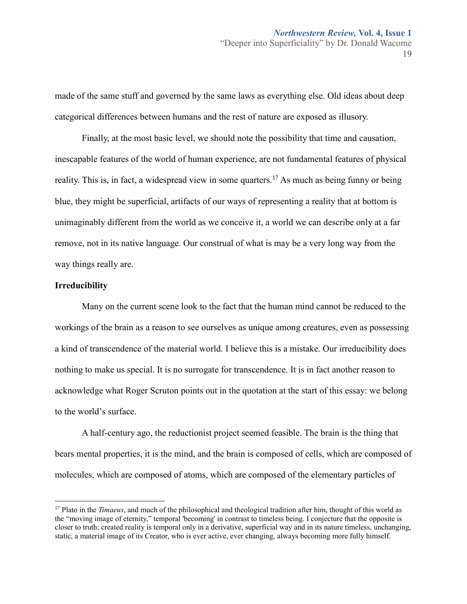made of the same stuff and governed by the same laws as everything else. Old ideas about deep categorical differences between humans and the rest of nature are exposed as illusory.

Finally, at the most basic level, we should note the possibility that time and causation, inescapable features of the world of human experience, are not fundamental features of physical reality. This is, in fact, a widespread view in some quarters.<sup>17</sup> As much as being funny or being blue, they might be superficial, artifacts of our ways of representing a reality that at bottom is unimaginably different from the world as we conceive it, a world we can describe only at a far remove, not in its native language. Our construal of what is may be a very long way from the way things really are.

#### **Irreducibility**

 $\overline{a}$ 

Many on the current scene look to the fact that the human mind cannot be reduced to the workings of the brain as a reason to see ourselves as unique among creatures, even as possessing a kind of transcendence of the material world. I believe this is a mistake. Our irreducibility does nothing to make us special. It is no surrogate for transcendence. It is in fact another reason to acknowledge what Roger Scruton points out in the quotation at the start of this essay: we belong to the world's surface.

A half-century ago, the reductionist project seemed feasible. The brain is the thing that bears mental properties, it is the mind, and the brain is composed of cells, which are composed of molecules, which are composed of atoms, which are composed of the elementary particles of

<sup>17</sup> Plato in the *Timaeus*, and much of the philosophical and theological tradition after him, thought of this world as the "moving image of eternity," temporal 'becoming' in contrast to timeless being. I conjecture that the opposite is closer to truth: created reality is temporal only in a derivative, superficial way and in its nature timeless, unchanging, static, a material image of its Creator, who is ever active, ever changing, always becoming more fully himself.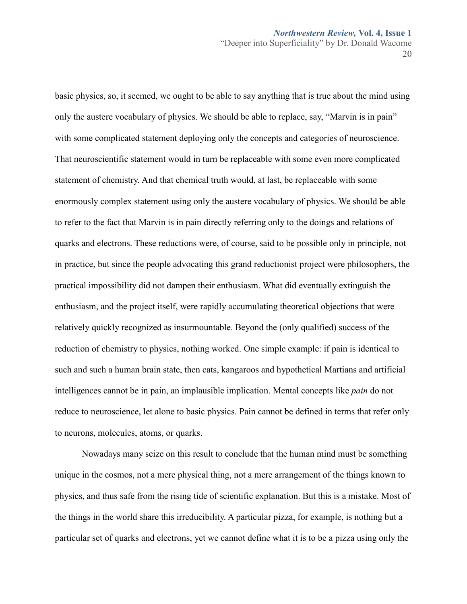basic physics, so, it seemed, we ought to be able to say anything that is true about the mind using only the austere vocabulary of physics. We should be able to replace, say, "Marvin is in pain" with some complicated statement deploying only the concepts and categories of neuroscience. That neuroscientific statement would in turn be replaceable with some even more complicated statement of chemistry. And that chemical truth would, at last, be replaceable with some enormously complex statement using only the austere vocabulary of physics. We should be able to refer to the fact that Marvin is in pain directly referring only to the doings and relations of quarks and electrons. These reductions were, of course, said to be possible only in principle, not in practice, but since the people advocating this grand reductionist project were philosophers, the practical impossibility did not dampen their enthusiasm. What did eventually extinguish the enthusiasm, and the project itself, were rapidly accumulating theoretical objections that were relatively quickly recognized as insurmountable. Beyond the (only qualified) success of the reduction of chemistry to physics, nothing worked. One simple example: if pain is identical to such and such a human brain state, then cats, kangaroos and hypothetical Martians and artificial intelligences cannot be in pain, an implausible implication. Mental concepts like *pain* do not reduce to neuroscience, let alone to basic physics. Pain cannot be defined in terms that refer only to neurons, molecules, atoms, or quarks.

Nowadays many seize on this result to conclude that the human mind must be something unique in the cosmos, not a mere physical thing, not a mere arrangement of the things known to physics, and thus safe from the rising tide of scientific explanation. But this is a mistake. Most of the things in the world share this irreducibility. A particular pizza, for example, is nothing but a particular set of quarks and electrons, yet we cannot define what it is to be a pizza using only the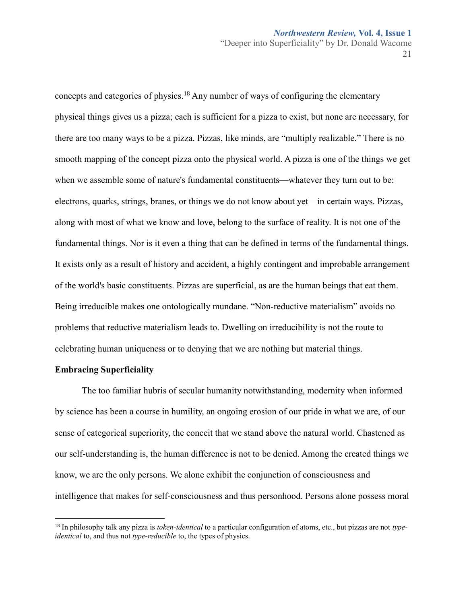concepts and categories of physics.<sup>18</sup> Any number of ways of configuring the elementary physical things gives us a pizza; each is sufficient for a pizza to exist, but none are necessary, for there are too many ways to be a pizza. Pizzas, like minds, are "multiply realizable." There is no smooth mapping of the concept pizza onto the physical world. A pizza is one of the things we get when we assemble some of nature's fundamental constituents—whatever they turn out to be: electrons, quarks, strings, branes, or things we do not know about yet—in certain ways. Pizzas, along with most of what we know and love, belong to the surface of reality. It is not one of the fundamental things. Nor is it even a thing that can be defined in terms of the fundamental things. It exists only as a result of history and accident, a highly contingent and improbable arrangement of the world's basic constituents. Pizzas are superficial, as are the human beings that eat them. Being irreducible makes one ontologically mundane. "Non-reductive materialism" avoids no problems that reductive materialism leads to. Dwelling on irreducibility is not the route to celebrating human uniqueness or to denying that we are nothing but material things.

#### **Embracing Superficiality**

 $\overline{a}$ 

The too familiar hubris of secular humanity notwithstanding, modernity when informed by science has been a course in humility, an ongoing erosion of our pride in what we are, of our sense of categorical superiority, the conceit that we stand above the natural world. Chastened as our self-understanding is, the human difference is not to be denied. Among the created things we know, we are the only persons. We alone exhibit the conjunction of consciousness and intelligence that makes for self-consciousness and thus personhood. Persons alone possess moral

<sup>18</sup> In philosophy talk any pizza is *token-identical* to a particular configuration of atoms, etc., but pizzas are not *typeidentical* to, and thus not *type-reducible* to, the types of physics.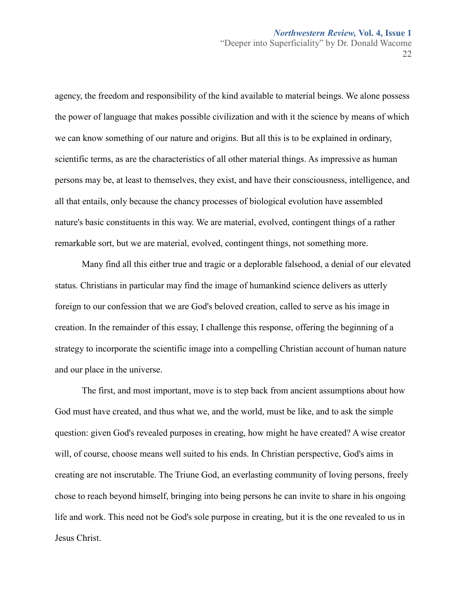22

agency, the freedom and responsibility of the kind available to material beings. We alone possess the power of language that makes possible civilization and with it the science by means of which we can know something of our nature and origins. But all this is to be explained in ordinary, scientific terms, as are the characteristics of all other material things. As impressive as human persons may be, at least to themselves, they exist, and have their consciousness, intelligence, and all that entails, only because the chancy processes of biological evolution have assembled nature's basic constituents in this way. We are material, evolved, contingent things of a rather remarkable sort, but we are material, evolved, contingent things, not something more.

Many find all this either true and tragic or a deplorable falsehood, a denial of our elevated status. Christians in particular may find the image of humankind science delivers as utterly foreign to our confession that we are God's beloved creation, called to serve as his image in creation. In the remainder of this essay, I challenge this response, offering the beginning of a strategy to incorporate the scientific image into a compelling Christian account of human nature and our place in the universe.

The first, and most important, move is to step back from ancient assumptions about how God must have created, and thus what we, and the world, must be like, and to ask the simple question: given God's revealed purposes in creating, how might he have created? A wise creator will, of course, choose means well suited to his ends. In Christian perspective, God's aims in creating are not inscrutable. The Triune God, an everlasting community of loving persons, freely chose to reach beyond himself, bringing into being persons he can invite to share in his ongoing life and work. This need not be God's sole purpose in creating, but it is the one revealed to us in Jesus Christ.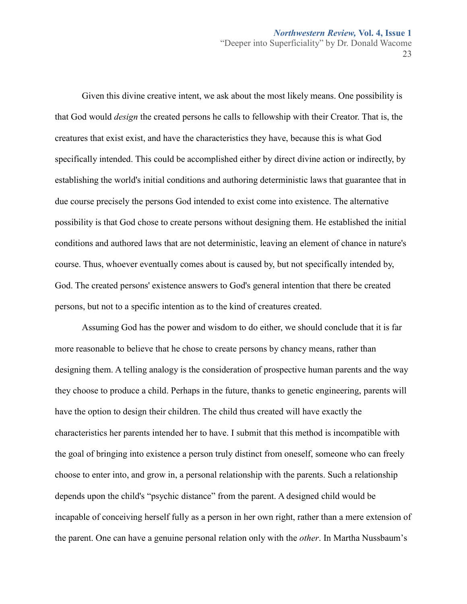Given this divine creative intent, we ask about the most likely means. One possibility is that God would *design* the created persons he calls to fellowship with their Creator. That is, the creatures that exist exist, and have the characteristics they have, because this is what God specifically intended. This could be accomplished either by direct divine action or indirectly, by establishing the world's initial conditions and authoring deterministic laws that guarantee that in due course precisely the persons God intended to exist come into existence. The alternative possibility is that God chose to create persons without designing them. He established the initial conditions and authored laws that are not deterministic, leaving an element of chance in nature's course. Thus, whoever eventually comes about is caused by, but not specifically intended by, God. The created persons' existence answers to God's general intention that there be created persons, but not to a specific intention as to the kind of creatures created.

Assuming God has the power and wisdom to do either, we should conclude that it is far more reasonable to believe that he chose to create persons by chancy means, rather than designing them. A telling analogy is the consideration of prospective human parents and the way they choose to produce a child. Perhaps in the future, thanks to genetic engineering, parents will have the option to design their children. The child thus created will have exactly the characteristics her parents intended her to have. I submit that this method is incompatible with the goal of bringing into existence a person truly distinct from oneself, someone who can freely choose to enter into, and grow in, a personal relationship with the parents. Such a relationship depends upon the child's "psychic distance" from the parent. A designed child would be incapable of conceiving herself fully as a person in her own right, rather than a mere extension of the parent. One can have a genuine personal relation only with the *other*. In Martha Nussbaum's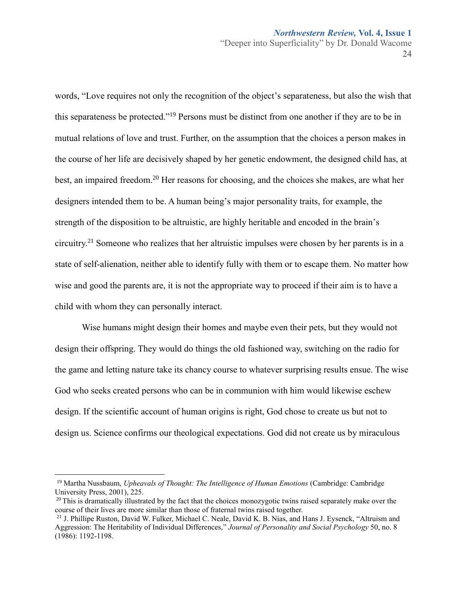words, "Love requires not only the recognition of the object's separateness, but also the wish that this separateness be protected."<sup>19</sup> Persons must be distinct from one another if they are to be in mutual relations of love and trust. Further, on the assumption that the choices a person makes in the course of her life are decisively shaped by her genetic endowment, the designed child has, at best, an impaired freedom.<sup>20</sup> Her reasons for choosing, and the choices she makes, are what her designers intended them to be. A human being's major personality traits, for example, the strength of the disposition to be altruistic, are highly heritable and encoded in the brain's circuitry.<sup>21</sup> Someone who realizes that her altruistic impulses were chosen by her parents is in a state of self-alienation, neither able to identify fully with them or to escape them. No matter how wise and good the parents are, it is not the appropriate way to proceed if their aim is to have a child with whom they can personally interact.

Wise humans might design their homes and maybe even their pets, but they would not design their offspring. They would do things the old fashioned way, switching on the radio for the game and letting nature take its chancy course to whatever surprising results ensue. The wise God who seeks created persons who can be in communion with him would likewise eschew design. If the scientific account of human origins is right, God chose to create us but not to design us. Science confirms our theological expectations. God did not create us by miraculous

<sup>19</sup> Martha Nussbaum, *Upheavals of Thought: The Intelligence of Human Emotions* (Cambridge: Cambridge University Press, 2001), 225.

 $^{20}$  This is dramatically illustrated by the fact that the choices monozygotic twins raised separately make over the course of their lives are more similar than those of fraternal twins raised together.

<sup>21</sup> J. Phillipe Ruston, David W. Fulker, Michael C. Neale, David K. B. Nias, and Hans J. Eysenck, "Altruism and Aggression: The Heritability of Individual Differences," *Journal of Personality and Social Psychology* 50, no. 8 (1986): 1192-1198.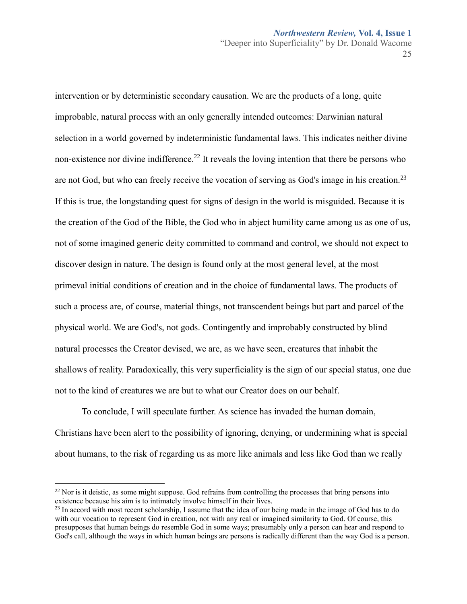25

intervention or by deterministic secondary causation. We are the products of a long, quite improbable, natural process with an only generally intended outcomes: Darwinian natural selection in a world governed by indeterministic fundamental laws. This indicates neither divine non-existence nor divine indifference.<sup>22</sup> It reveals the loving intention that there be persons who are not God, but who can freely receive the vocation of serving as God's image in his creation.<sup>23</sup> If this is true, the longstanding quest for signs of design in the world is misguided. Because it is the creation of the God of the Bible, the God who in abject humility came among us as one of us, not of some imagined generic deity committed to command and control, we should not expect to discover design in nature. The design is found only at the most general level, at the most primeval initial conditions of creation and in the choice of fundamental laws. The products of such a process are, of course, material things, not transcendent beings but part and parcel of the physical world. We are God's, not gods. Contingently and improbably constructed by blind natural processes the Creator devised, we are, as we have seen, creatures that inhabit the shallows of reality. Paradoxically, this very superficiality is the sign of our special status, one due not to the kind of creatures we are but to what our Creator does on our behalf.

To conclude, I will speculate further. As science has invaded the human domain, Christians have been alert to the possibility of ignoring, denying, or undermining what is special about humans, to the risk of regarding us as more like animals and less like God than we really

 $^{22}$  Nor is it deistic, as some might suppose. God refrains from controlling the processes that bring persons into existence because his aim is to intimately involve himself in their lives.

<sup>&</sup>lt;sup>23</sup> In accord with most recent scholarship, I assume that the idea of our being made in the image of God has to do with our vocation to represent God in creation, not with any real or imagined similarity to God. Of course, this presupposes that human beings do resemble God in some ways; presumably only a person can hear and respond to God's call, although the ways in which human beings are persons is radically different than the way God is a person.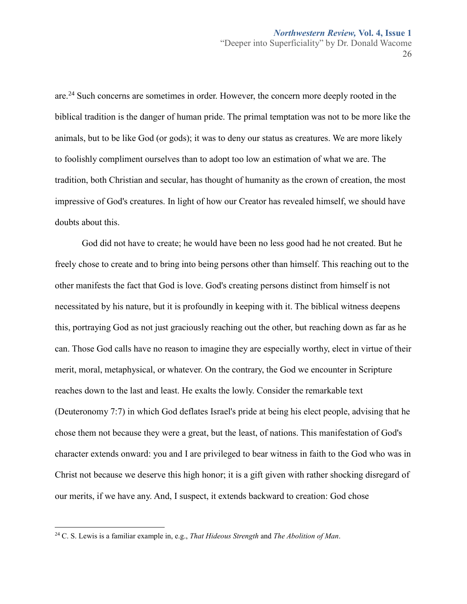are.<sup>24</sup> Such concerns are sometimes in order. However, the concern more deeply rooted in the biblical tradition is the danger of human pride. The primal temptation was not to be more like the animals, but to be like God (or gods); it was to deny our status as creatures. We are more likely to foolishly compliment ourselves than to adopt too low an estimation of what we are. The tradition, both Christian and secular, has thought of humanity as the crown of creation, the most impressive of God's creatures. In light of how our Creator has revealed himself, we should have doubts about this.

God did not have to create; he would have been no less good had he not created. But he freely chose to create and to bring into being persons other than himself. This reaching out to the other manifests the fact that God is love. God's creating persons distinct from himself is not necessitated by his nature, but it is profoundly in keeping with it. The biblical witness deepens this, portraying God as not just graciously reaching out the other, but reaching down as far as he can. Those God calls have no reason to imagine they are especially worthy, elect in virtue of their merit, moral, metaphysical, or whatever. On the contrary, the God we encounter in Scripture reaches down to the last and least. He exalts the lowly. Consider the remarkable text (Deuteronomy 7:7) in which God deflates Israel's pride at being his elect people, advising that he chose them not because they were a great, but the least, of nations. This manifestation of God's character extends onward: you and I are privileged to bear witness in faith to the God who was in Christ not because we deserve this high honor; it is a gift given with rather shocking disregard of our merits, if we have any. And, I suspect, it extends backward to creation: God chose

<sup>24</sup> C. S. Lewis is a familiar example in, e.g., *That Hideous Strength* and *The Abolition of Man*.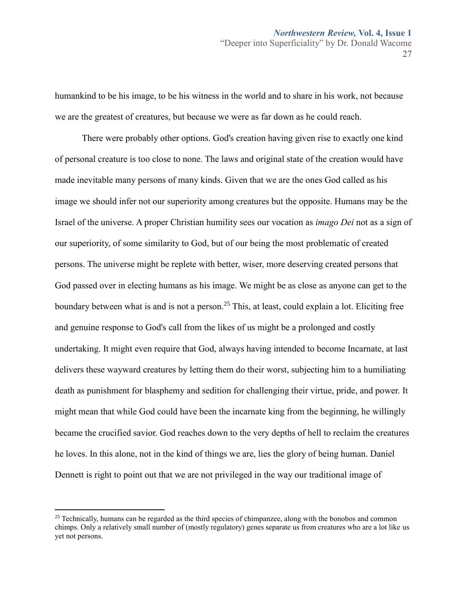humankind to be his image, to be his witness in the world and to share in his work, not because we are the greatest of creatures, but because we were as far down as he could reach.

There were probably other options. God's creation having given rise to exactly one kind of personal creature is too close to none. The laws and original state of the creation would have made inevitable many persons of many kinds. Given that we are the ones God called as his image we should infer not our superiority among creatures but the opposite. Humans may be the Israel of the universe. A proper Christian humility sees our vocation as *imago Dei* not as a sign of our superiority, of some similarity to God, but of our being the most problematic of created persons. The universe might be replete with better, wiser, more deserving created persons that God passed over in electing humans as his image. We might be as close as anyone can get to the boundary between what is and is not a person.<sup>25</sup> This, at least, could explain a lot. Eliciting free and genuine response to God's call from the likes of us might be a prolonged and costly undertaking. It might even require that God, always having intended to become Incarnate, at last delivers these wayward creatures by letting them do their worst, subjecting him to a humiliating death as punishment for blasphemy and sedition for challenging their virtue, pride, and power. It might mean that while God could have been the incarnate king from the beginning, he willingly became the crucified savior. God reaches down to the very depths of hell to reclaim the creatures he loves. In this alone, not in the kind of things we are, lies the glory of being human. Daniel Dennett is right to point out that we are not privileged in the way our traditional image of

<sup>&</sup>lt;sup>25</sup> Technically, humans can be regarded as the third species of chimpanzee, along with the bonobos and common chimps. Only a relatively small number of (mostly regulatory) genes separate us from creatures who are a lot like us yet not persons.